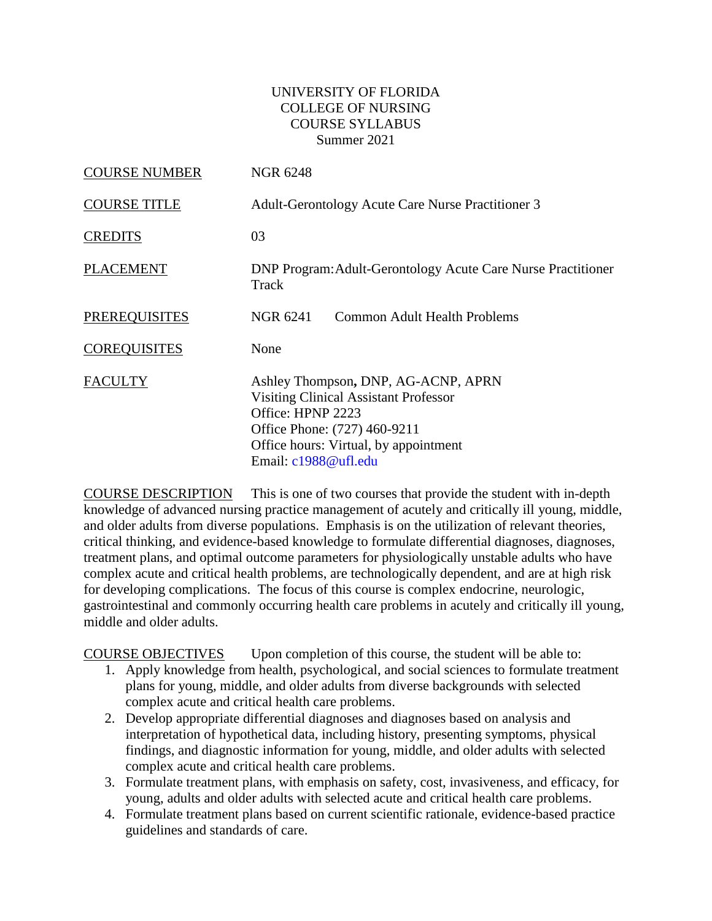### UNIVERSITY OF FLORIDA COLLEGE OF NURSING COURSE SYLLABUS Summer 2021

| <b>COURSE NUMBER</b> | <b>NGR 6248</b>                                                                                                                                                                                           |
|----------------------|-----------------------------------------------------------------------------------------------------------------------------------------------------------------------------------------------------------|
| <b>COURSE TITLE</b>  | Adult-Gerontology Acute Care Nurse Practitioner 3                                                                                                                                                         |
| <b>CREDITS</b>       | 03                                                                                                                                                                                                        |
| <b>PLACEMENT</b>     | <b>DNP Program: Adult-Gerontology Acute Care Nurse Practitioner</b><br>Track                                                                                                                              |
| <b>PREREQUISITES</b> | NGR 6241<br>Common Adult Health Problems                                                                                                                                                                  |
| <b>COREQUISITES</b>  | None                                                                                                                                                                                                      |
| <b>FACULTY</b>       | Ashley Thompson, DNP, AG-ACNP, APRN<br><b>Visiting Clinical Assistant Professor</b><br>Office: HPNP 2223<br>Office Phone: (727) 460-9211<br>Office hours: Virtual, by appointment<br>Email: c1988@ufl.edu |

COURSE DESCRIPTION This is one of two courses that provide the student with in-depth knowledge of advanced nursing practice management of acutely and critically ill young, middle, and older adults from diverse populations. Emphasis is on the utilization of relevant theories, critical thinking, and evidence-based knowledge to formulate differential diagnoses, diagnoses, treatment plans, and optimal outcome parameters for physiologically unstable adults who have complex acute and critical health problems, are technologically dependent, and are at high risk for developing complications. The focus of this course is complex endocrine, neurologic, gastrointestinal and commonly occurring health care problems in acutely and critically ill young, middle and older adults.

COURSE OBJECTIVES Upon completion of this course, the student will be able to:

- 1. Apply knowledge from health, psychological, and social sciences to formulate treatment plans for young, middle, and older adults from diverse backgrounds with selected complex acute and critical health care problems.
- 2. Develop appropriate differential diagnoses and diagnoses based on analysis and interpretation of hypothetical data, including history, presenting symptoms, physical findings, and diagnostic information for young, middle, and older adults with selected complex acute and critical health care problems.
- 3. Formulate treatment plans, with emphasis on safety, cost, invasiveness, and efficacy, for young, adults and older adults with selected acute and critical health care problems.
- 4. Formulate treatment plans based on current scientific rationale, evidence-based practice guidelines and standards of care.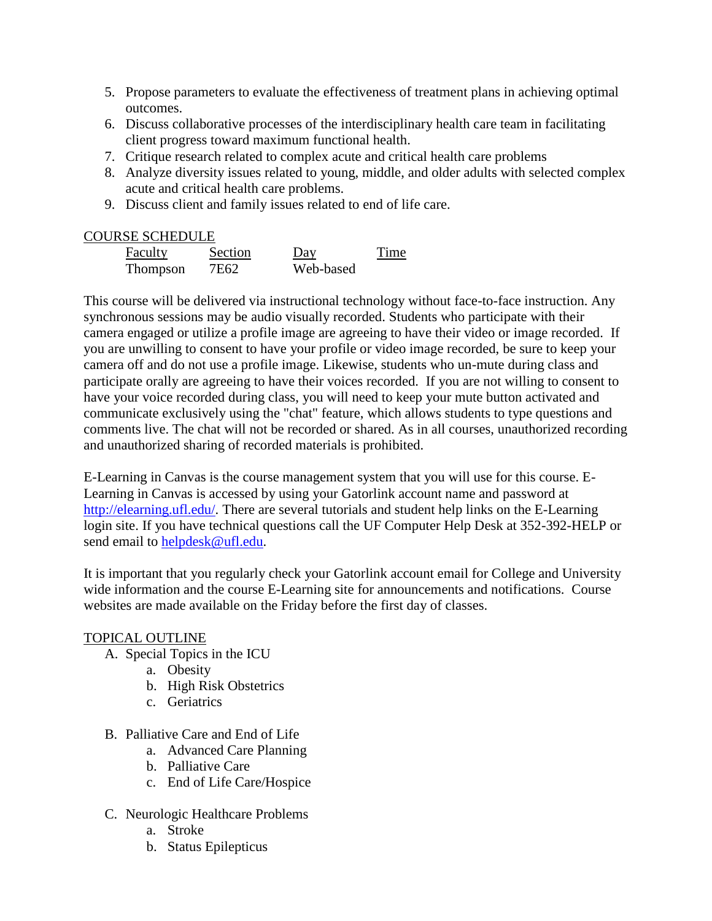- 5. Propose parameters to evaluate the effectiveness of treatment plans in achieving optimal outcomes.
- 6. Discuss collaborative processes of the interdisciplinary health care team in facilitating client progress toward maximum functional health.
- 7. Critique research related to complex acute and critical health care problems
- 8. Analyze diversity issues related to young, middle, and older adults with selected complex acute and critical health care problems.
- 9. Discuss client and family issues related to end of life care.

### COURSE SCHEDULE

| Faculty  | <b>Section</b> | Day       | Time |
|----------|----------------|-----------|------|
| Thompson | 7E62           | Web-based |      |

This course will be delivered via instructional technology without face-to-face instruction. Any synchronous sessions may be audio visually recorded. Students who participate with their camera engaged or utilize a profile image are agreeing to have their video or image recorded. If you are unwilling to consent to have your profile or video image recorded, be sure to keep your camera off and do not use a profile image. Likewise, students who un-mute during class and participate orally are agreeing to have their voices recorded. If you are not willing to consent to have your voice recorded during class, you will need to keep your mute button activated and communicate exclusively using the "chat" feature, which allows students to type questions and comments live. The chat will not be recorded or shared. As in all courses, unauthorized recording and unauthorized sharing of recorded materials is prohibited.

E-Learning in Canvas is the course management system that you will use for this course. E-Learning in Canvas is accessed by using your Gatorlink account name and password at [http://elearning.ufl.edu/.](http://elearning.ufl.edu/) There are several tutorials and student help links on the E-Learning login site. If you have technical questions call the UF Computer Help Desk at 352-392-HELP or send email to [helpdesk@ufl.edu.](mailto:helpdesk@ufl.edu)

It is important that you regularly check your Gatorlink account email for College and University wide information and the course E-Learning site for announcements and notifications. Course websites are made available on the Friday before the first day of classes.

#### TOPICAL OUTLINE

- A. Special Topics in the ICU
	- a. Obesity
	- b. High Risk Obstetrics
	- c. Geriatrics
- B. Palliative Care and End of Life
	- a. Advanced Care Planning
	- b. Palliative Care
	- c. End of Life Care/Hospice
- C. Neurologic Healthcare Problems
	- a. Stroke
	- b. Status Epilepticus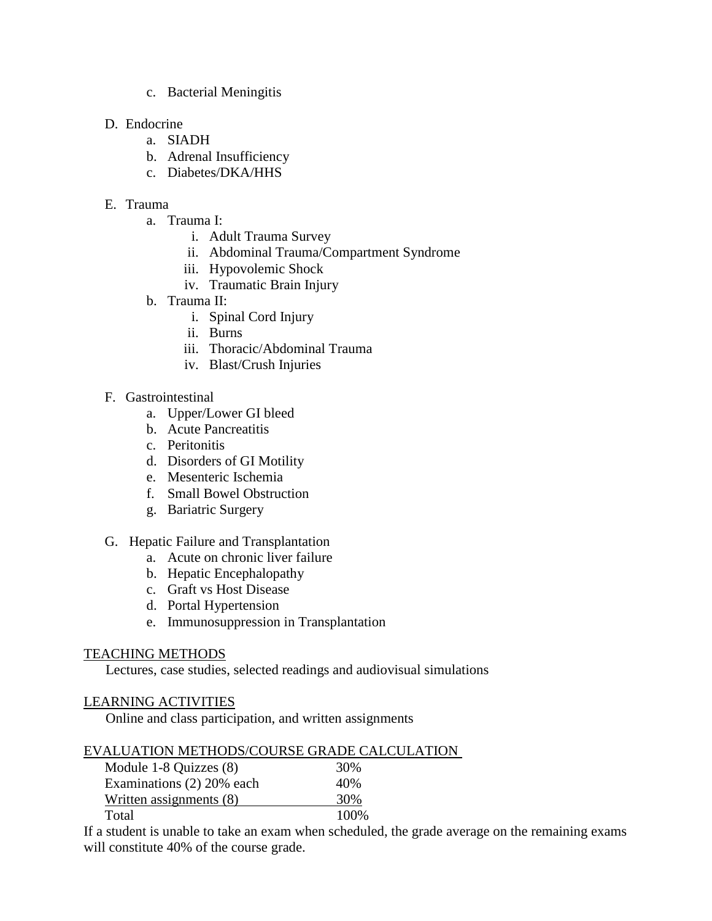c. Bacterial Meningitis

### D. Endocrine

- a. SIADH
- b. Adrenal Insufficiency
- c. Diabetes/DKA/HHS

### E. Trauma

- a. Trauma I:
	- i. Adult Trauma Survey
	- ii. Abdominal Trauma/Compartment Syndrome
	- iii. Hypovolemic Shock
	- iv. Traumatic Brain Injury
- b. Trauma II:
	- i. Spinal Cord Injury
	- ii. Burns
	- iii. Thoracic/Abdominal Trauma
	- iv. Blast/Crush Injuries

### F. Gastrointestinal

- a. Upper/Lower GI bleed
- b. Acute Pancreatitis
- c. Peritonitis
- d. Disorders of GI Motility
- e. Mesenteric Ischemia
- f. Small Bowel Obstruction
- g. Bariatric Surgery
- G. Hepatic Failure and Transplantation
	- a. Acute on chronic liver failure
	- b. Hepatic Encephalopathy
	- c. Graft vs Host Disease
	- d. Portal Hypertension
	- e. Immunosuppression in Transplantation

### TEACHING METHODS

Lectures, case studies, selected readings and audiovisual simulations

### LEARNING ACTIVITIES

Online and class participation, and written assignments

### EVALUATION METHODS/COURSE GRADE CALCULATION

| Module 1-8 Quizzes (8)    | 30%   |
|---------------------------|-------|
| Examinations (2) 20% each | 40%   |
| Written assignments (8)   | 30%   |
| Total                     | 100\% |

If a student is unable to take an exam when scheduled, the grade average on the remaining exams will constitute 40% of the course grade.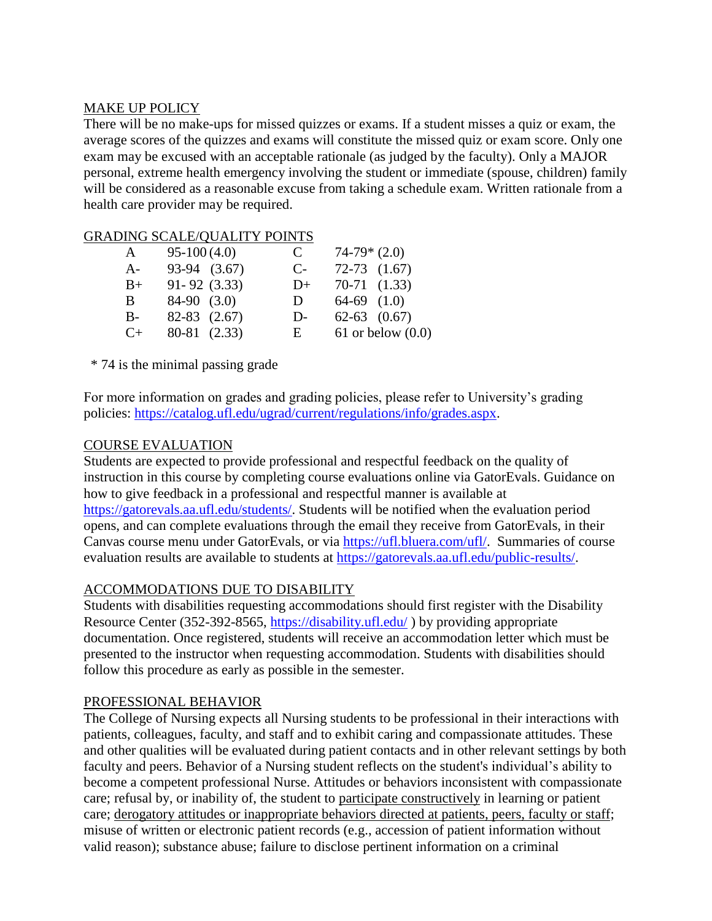### MAKE UP POLICY

There will be no make-ups for missed quizzes or exams. If a student misses a quiz or exam, the average scores of the quizzes and exams will constitute the missed quiz or exam score. Only one exam may be excused with an acceptable rationale (as judged by the faculty). Only a MAJOR personal, extreme health emergency involving the student or immediate (spouse, children) family will be considered as a reasonable excuse from taking a schedule exam. Written rationale from a health care provider may be required.

### GRADING SCALE/QUALITY POINTS

| A     | $95-100(4.0)$    | C    | $74-79*(2.0)$         |
|-------|------------------|------|-----------------------|
| $A-$  | 93-94 (3.67)     | $C-$ | $72-73$ $(1.67)$      |
| $B+$  | $91 - 92$ (3.33) | $D+$ | $70-71$ $(1.33)$      |
| B.    | $84-90$ $(3.0)$  | D    | $64-69$ $(1.0)$       |
| $B -$ | $82-83$ $(2.67)$ | $D-$ | $62-63$ $(0.67)$      |
| $C+$  | 80-81 (2.33)     | E    | $61$ or below $(0.0)$ |

\* 74 is the minimal passing grade

For more information on grades and grading policies, please refer to University's grading policies: [https://catalog.ufl.edu/ugrad/current/regulations/info/grades.aspx.](https://catalog.ufl.edu/ugrad/current/regulations/info/grades.aspx)

### COURSE EVALUATION

Students are expected to provide professional and respectful feedback on the quality of instruction in this course by completing course evaluations online via GatorEvals. Guidance on how to give feedback in a professional and respectful manner is available at [https://gatorevals.aa.ufl.edu/students/.](https://gatorevals.aa.ufl.edu/students/) Students will be notified when the evaluation period opens, and can complete evaluations through the email they receive from GatorEvals, in their Canvas course menu under GatorEvals, or via [https://ufl.bluera.com/ufl/.](https://ufl.bluera.com/ufl/) Summaries of course evaluation results are available to students at [https://gatorevals.aa.ufl.edu/public-results/.](https://gatorevals.aa.ufl.edu/public-results/)

### ACCOMMODATIONS DUE TO DISABILITY

Students with disabilities requesting accommodations should first register with the Disability Resource Center (352-392-8565,<https://disability.ufl.edu/>) by providing appropriate documentation. Once registered, students will receive an accommodation letter which must be presented to the instructor when requesting accommodation. Students with disabilities should follow this procedure as early as possible in the semester.

#### PROFESSIONAL BEHAVIOR

The College of Nursing expects all Nursing students to be professional in their interactions with patients, colleagues, faculty, and staff and to exhibit caring and compassionate attitudes. These and other qualities will be evaluated during patient contacts and in other relevant settings by both faculty and peers. Behavior of a Nursing student reflects on the student's individual's ability to become a competent professional Nurse. Attitudes or behaviors inconsistent with compassionate care; refusal by, or inability of, the student to participate constructively in learning or patient care; derogatory attitudes or inappropriate behaviors directed at patients, peers, faculty or staff; misuse of written or electronic patient records (e.g., accession of patient information without valid reason); substance abuse; failure to disclose pertinent information on a criminal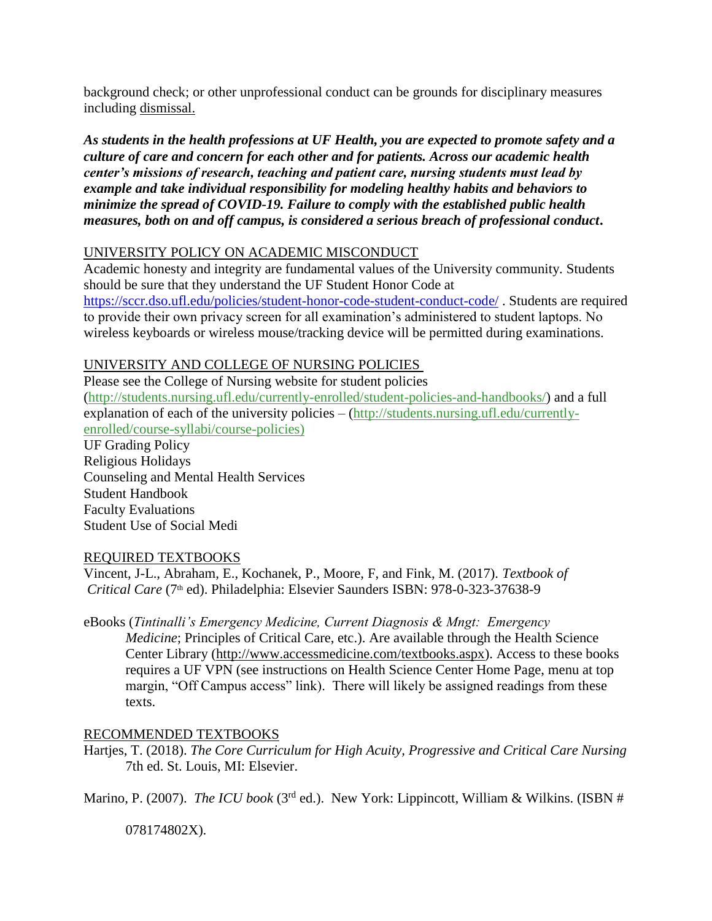background check; or other unprofessional conduct can be grounds for disciplinary measures including dismissal.

*As students in the health professions at UF Health, you are expected to promote safety and a culture of care and concern for each other and for patients. Across our academic health center's missions of research, teaching and patient care, nursing students must lead by example and take individual responsibility for modeling healthy habits and behaviors to minimize the spread of COVID-19. Failure to comply with the established public health measures, both on and off campus, is considered a serious breach of professional conduct***.** 

# UNIVERSITY POLICY ON ACADEMIC MISCONDUCT

Academic honesty and integrity are fundamental values of the University community. Students should be sure that they understand the UF Student Honor Code at <https://sccr.dso.ufl.edu/policies/student-honor-code-student-conduct-code/> . Students are required to provide their own privacy screen for all examination's administered to student laptops. No wireless keyboards or wireless mouse/tracking device will be permitted during examinations.

# UNIVERSITY AND COLLEGE OF NURSING POLICIES

Please see the College of Nursing website for student policies [\(http://students.nursing.ufl.edu/currently-enrolled/student-policies-and-handbooks/\)](http://students.nursing.ufl.edu/currently-enrolled/student-policies-and-handbooks/) and a full explanation of each of the university policies – [\(http://students.nursing.ufl.edu/currently](http://students.nursing.ufl.edu/currently-enrolled/course-syllabi/course-policies)[enrolled/course-syllabi/course-policies\)](http://students.nursing.ufl.edu/currently-enrolled/course-syllabi/course-policies)

UF Grading Policy Religious Holidays Counseling and Mental Health Services Student Handbook Faculty Evaluations Student Use of Social Medi

### REQUIRED TEXTBOOKS

Vincent, J-L., Abraham, E., Kochanek, P., Moore, F, and Fink, M. (2017). *Textbook of Critical Care* (7th ed). Philadelphia: Elsevier Saunders ISBN: 978-0-323-37638-9

eBooks (*Tintinalli's Emergency Medicine, Current Diagnosis & Mngt: Emergency Medicine*; Principles of Critical Care, etc.). Are available through the Health Science Center Library [\(http://www.accessmedicine.com/textbooks.aspx\)](http://www.accessmedicine.com/textbooks.aspx). Access to these books requires a UF VPN (see instructions on Health Science Center Home Page, menu at top margin, "Off Campus access" link). There will likely be assigned readings from these texts.

# RECOMMENDED TEXTBOOKS

Hartjes, T. (2018). *The Core Curriculum for High Acuity, Progressive and Critical Care Nursing* 7th ed. St. Louis, MI: Elsevier.

Marino, P. (2007). *The ICU book* (3<sup>rd</sup> ed.). New York: Lippincott, William & Wilkins. (ISBN #

078174802X).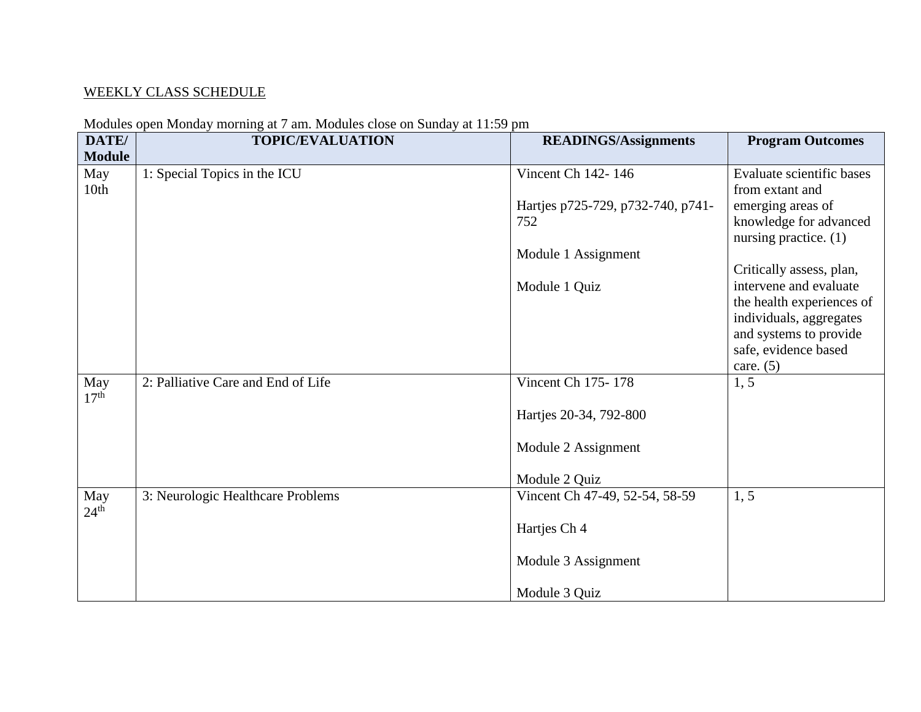# WEEKLY CLASS SCHEDULE

| DATE/            | modales open mollary morning at t and modales erose on Banday at 11.09 pm<br><b>TOPIC/EVALUATION</b> | <b>READINGS/Assignments</b>       | <b>Program Outcomes</b>   |
|------------------|------------------------------------------------------------------------------------------------------|-----------------------------------|---------------------------|
| <b>Module</b>    |                                                                                                      |                                   |                           |
|                  |                                                                                                      |                                   |                           |
| May              | 1: Special Topics in the ICU                                                                         | Vincent Ch 142-146                | Evaluate scientific bases |
| 10th             |                                                                                                      |                                   | from extant and           |
|                  |                                                                                                      | Hartjes p725-729, p732-740, p741- | emerging areas of         |
|                  |                                                                                                      | 752                               | knowledge for advanced    |
|                  |                                                                                                      |                                   | nursing practice. $(1)$   |
|                  |                                                                                                      | Module 1 Assignment               |                           |
|                  |                                                                                                      |                                   | Critically assess, plan,  |
|                  |                                                                                                      | Module 1 Quiz                     | intervene and evaluate    |
|                  |                                                                                                      |                                   | the health experiences of |
|                  |                                                                                                      |                                   | individuals, aggregates   |
|                  |                                                                                                      |                                   | and systems to provide    |
|                  |                                                                                                      |                                   | safe, evidence based      |
|                  |                                                                                                      |                                   | care. $(5)$               |
| May              | 2: Palliative Care and End of Life                                                                   | Vincent Ch 175-178                | 1, 5                      |
| 17 <sup>th</sup> |                                                                                                      |                                   |                           |
|                  |                                                                                                      | Hartjes 20-34, 792-800            |                           |
|                  |                                                                                                      |                                   |                           |
|                  |                                                                                                      | Module 2 Assignment               |                           |
|                  |                                                                                                      |                                   |                           |
|                  |                                                                                                      | Module 2 Quiz                     |                           |
| May              | 3: Neurologic Healthcare Problems                                                                    | Vincent Ch 47-49, 52-54, 58-59    | 1, 5                      |
| $24^{\text{th}}$ |                                                                                                      |                                   |                           |
|                  |                                                                                                      | Hartjes Ch 4                      |                           |
|                  |                                                                                                      |                                   |                           |
|                  |                                                                                                      | Module 3 Assignment               |                           |
|                  |                                                                                                      |                                   |                           |
|                  |                                                                                                      | Module 3 Quiz                     |                           |

#### Modules open Monday morning at 7 am. Modules close on Sunday at 11:59 pm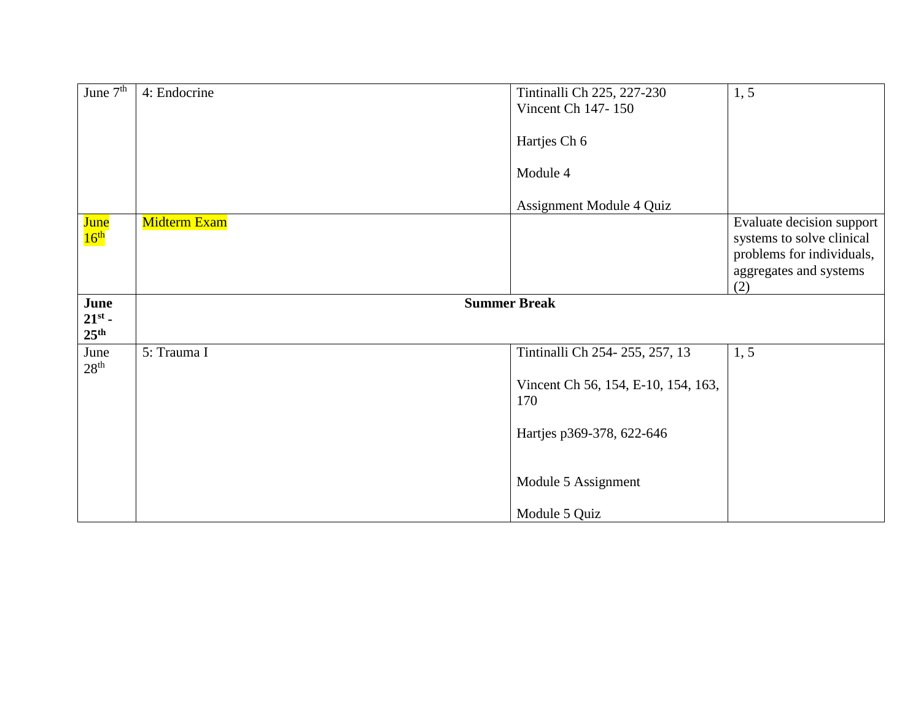| June $7th$                      | 4: Endocrine        | Tintinalli Ch 225, 227-230<br>Vincent Ch 147-150 | 1, 5                                                                                                                 |
|---------------------------------|---------------------|--------------------------------------------------|----------------------------------------------------------------------------------------------------------------------|
|                                 |                     | Hartjes Ch 6                                     |                                                                                                                      |
|                                 |                     | Module 4                                         |                                                                                                                      |
|                                 |                     | Assignment Module 4 Quiz                         |                                                                                                                      |
| <b>June</b><br>16 <sup>th</sup> | <b>Midterm Exam</b> |                                                  | Evaluate decision support<br>systems to solve clinical<br>problems for individuals,<br>aggregates and systems<br>(2) |
| June<br>$21^{st}$ -             | <b>Summer Break</b> |                                                  |                                                                                                                      |
| 25 <sup>th</sup>                |                     |                                                  |                                                                                                                      |
| June                            | 5: Trauma I         | Tintinalli Ch 254-255, 257, 13                   | 1, 5                                                                                                                 |
| 28 <sup>th</sup>                |                     | Vincent Ch 56, 154, E-10, 154, 163,<br>170       |                                                                                                                      |
|                                 |                     | Hartjes p369-378, 622-646                        |                                                                                                                      |
|                                 |                     | Module 5 Assignment                              |                                                                                                                      |
|                                 |                     | Module 5 Quiz                                    |                                                                                                                      |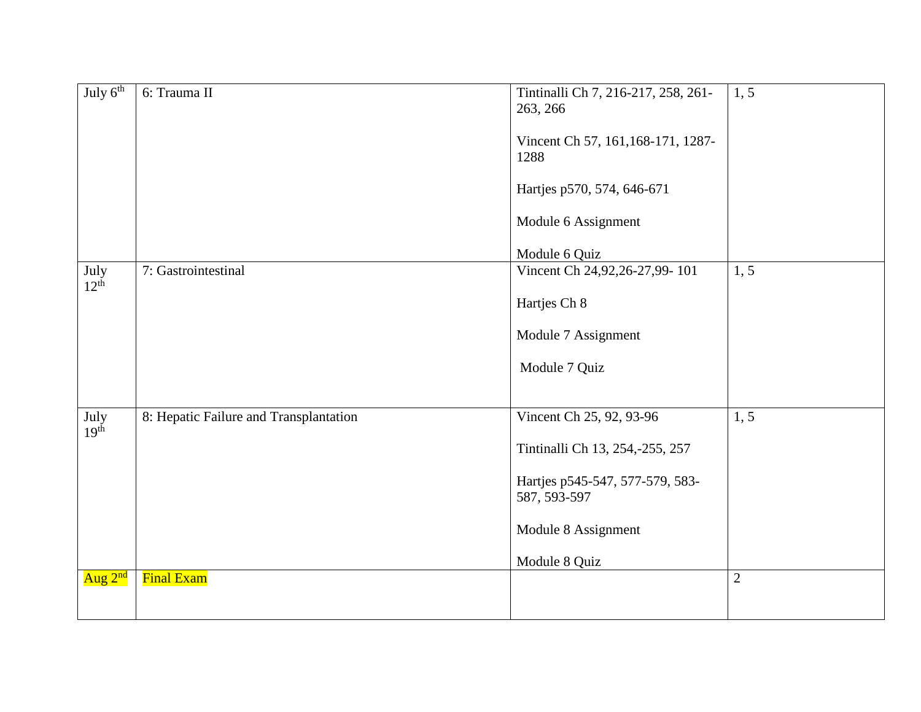| July $6th$               | 6: Trauma II                           | Tintinalli Ch 7, 216-217, 258, 261-<br>263, 266<br>Vincent Ch 57, 161, 168-171, 1287-<br>1288<br>Hartjes p570, 574, 646-671<br>Module 6 Assignment<br>Module 6 Quiz | 1, 5           |
|--------------------------|----------------------------------------|---------------------------------------------------------------------------------------------------------------------------------------------------------------------|----------------|
| July<br>12 <sup>th</sup> | 7: Gastrointestinal                    | Vincent Ch 24,92,26-27,99-101<br>Hartjes Ch 8<br>Module 7 Assignment<br>Module 7 Quiz                                                                               | 1, 5           |
| July<br>19 <sup>th</sup> | 8: Hepatic Failure and Transplantation | Vincent Ch 25, 92, 93-96<br>Tintinalli Ch 13, 254,-255, 257<br>Hartjes p545-547, 577-579, 583-<br>587, 593-597<br>Module 8 Assignment<br>Module 8 Quiz              | 1, 5           |
| Aug 2 <sup>nd</sup>      | <b>Final Exam</b>                      |                                                                                                                                                                     | $\overline{2}$ |